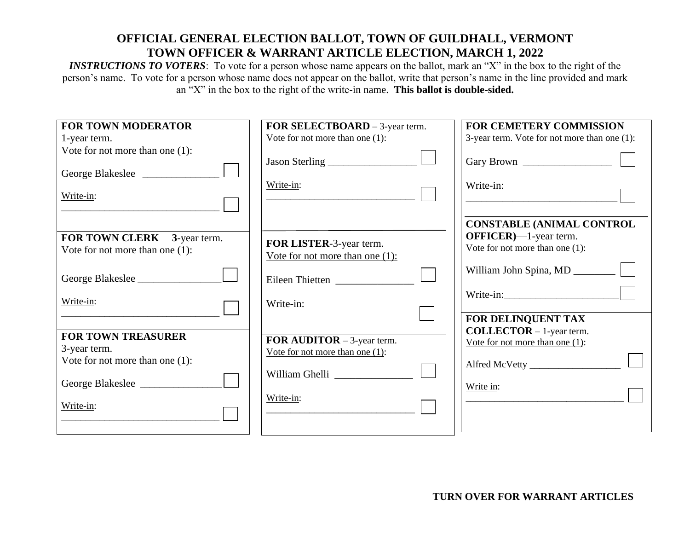## **OFFICIAL GENERAL ELECTION BALLOT, TOWN OF GUILDHALL, VERMONT TOWN OFFICER & WARRANT ARTICLE ELECTION, MARCH 1, 2022**

*INSTRUCTIONS TO VOTERS*: To vote for a person whose name appears on the ballot, mark an "X" in the box to the right of the person's name. To vote for a person whose name does not appear on the ballot, write that person's name in the line provided and mark an "X" in the box to the right of the write-in name. **This ballot is double-sided.**

| <b>FOR TOWN MODERATOR</b>          | FOR SELECTBOARD - 3-year term.      | <b>FOR CEMETERY COMMISSION</b>                                |
|------------------------------------|-------------------------------------|---------------------------------------------------------------|
| 1-year term.                       | Vote for not more than one $(1)$ :  | 3-year term. Vote for not more than one (1):                  |
| Vote for not more than one $(1)$ : |                                     |                                                               |
| George Blakeslee                   | Jason Sterling                      |                                                               |
| Write-in:                          | Write-in:                           | Write-in:                                                     |
|                                    |                                     | <b>CONSTABLE (ANIMAL CONTROL</b>                              |
| FOR TOWN CLERK 3-year term.        | FOR LISTER-3-year term.             | $OFFICER$ —1-year term.<br>Vote for not more than one $(1)$ : |
| Vote for not more than one $(1)$ : | Vote for not more than one $(1)$ :  |                                                               |
| George Blakeslee                   | Eileen Thietten                     |                                                               |
| Write-in:                          | Write-in:                           |                                                               |
|                                    |                                     | FOR DELINQUENT TAX                                            |
|                                    |                                     | <b>COLLECTOR</b> $-1$ -year term.                             |
| <b>FOR TOWN TREASURER</b>          | <b>FOR AUDITOR</b> $-3$ -year term. | Vote for not more than one $(1)$ :                            |
| 3-year term.                       | Vote for not more than one $(1)$ :  |                                                               |
| Vote for not more than one $(1)$ : |                                     |                                                               |
|                                    | William Ghelli                      |                                                               |
| George Blakeslee                   |                                     | Write in:                                                     |
| Write-in:                          | Write-in:                           |                                                               |
|                                    |                                     |                                                               |
|                                    |                                     |                                                               |